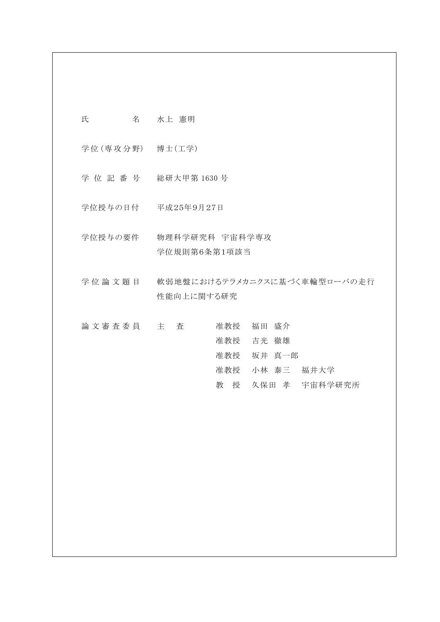氏 名 水上 憲明

学位 (専攻分野) 博士 (工学)

学 位 記 番 号 総研大甲第 1630 号

学位授与の日付 平成25年9月27日

学位授与の要件 物理科学研究科 宇宙科学専攻 学位規則第6条第1項該当

学位論文題目 軟弱地盤におけるテラメカニクスに基づく車輪型ローバの走行 性能向上に関する研究

論 文 審 査 委 員 主 主 查 音 连 教授 福田 盛介 准教授 吉光 徹雄 准教授 坂井 真一郎 准教授 小林 泰三 福井大学 教 授 久保田 孝 宇宙科学研究所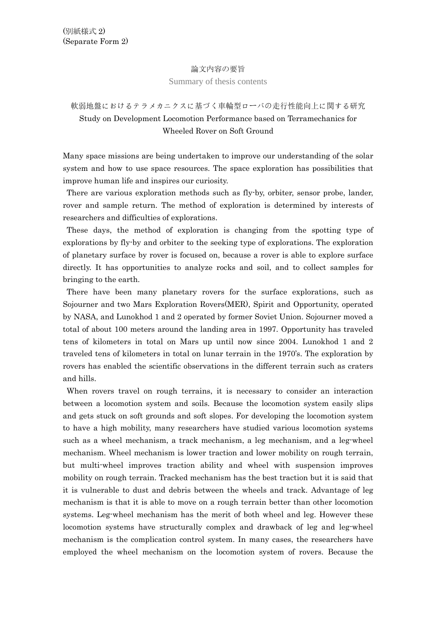## 論文内容の要旨

## Summary of thesis contents

## 軟弱地盤におけるテラメカニクスに基づく車輪型ローバの走行性能向上に関する研究 Study on Development Locomotion Performance based on Terramechanics for Wheeled Rover on Soft Ground

Many space missions are being undertaken to improve our understanding of the solar system and how to use space resources. The space exploration has possibilities that improve human life and inspires our curiosity.

There are various exploration methods such as fly-by, orbiter, sensor probe, lander, rover and sample return. The method of exploration is determined by interests of researchers and difficulties of explorations.

These days, the method of exploration is changing from the spotting type of explorations by fly-by and orbiter to the seeking type of explorations. The exploration of planetary surface by rover is focused on, because a rover is able to explore surface directly. It has opportunities to analyze rocks and soil, and to collect samples for bringing to the earth.

There have been many planetary rovers for the surface explorations, such as Sojourner and two Mars Exploration Rovers(MER), Spirit and Opportunity, operated by NASA, and Lunokhod 1 and 2 operated by former Soviet Union. Sojourner moved a total of about 100 meters around the landing area in 1997. Opportunity has traveled tens of kilometers in total on Mars up until now since 2004. Lunokhod 1 and 2 traveled tens of kilometers in total on lunar terrain in the 1970's. The exploration by rovers has enabled the scientific observations in the different terrain such as craters and hills.

When rovers travel on rough terrains, it is necessary to consider an interaction between a locomotion system and soils. Because the locomotion system easily slips and gets stuck on soft grounds and soft slopes. For developing the locomotion system to have a high mobility, many researchers have studied various locomotion systems such as a wheel mechanism, a track mechanism, a leg mechanism, and a leg-wheel mechanism. Wheel mechanism is lower traction and lower mobility on rough terrain, but multi-wheel improves traction ability and wheel with suspension improves mobility on rough terrain. Tracked mechanism has the best traction but it is said that it is vulnerable to dust and debris between the wheels and track. Advantage of leg mechanism is that it is able to move on a rough terrain better than other locomotion systems. Leg-wheel mechanism has the merit of both wheel and leg. However these locomotion systems have structurally complex and drawback of leg and leg-wheel mechanism is the complication control system. In many cases, the researchers have employed the wheel mechanism on the locomotion system of rovers. Because the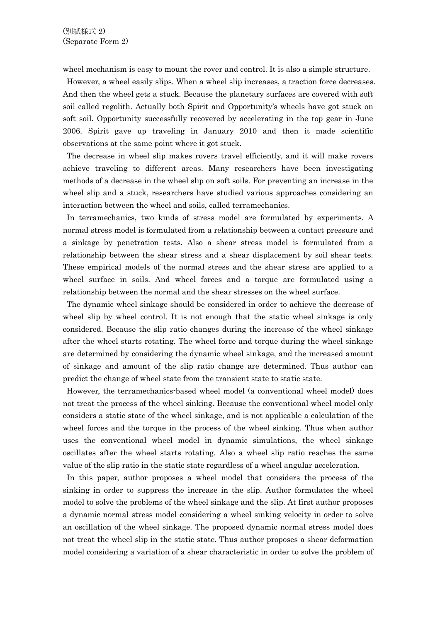wheel mechanism is easy to mount the rover and control. It is also a simple structure.

However, a wheel easily slips. When a wheel slip increases, a traction force decreases. And then the wheel gets a stuck. Because the planetary surfaces are covered with soft soil called regolith. Actually both Spirit and Opportunity's wheels have got stuck on soft soil. Opportunity successfully recovered by accelerating in the top gear in June 2006. Spirit gave up traveling in January 2010 and then it made scientific observations at the same point where it got stuck.

The decrease in wheel slip makes rovers travel efficiently, and it will make rovers achieve traveling to different areas. Many researchers have been investigating methods of a decrease in the wheel slip on soft soils. For preventing an increase in the wheel slip and a stuck, researchers have studied various approaches considering an interaction between the wheel and soils, called terramechanics.

In terramechanics, two kinds of stress model are formulated by experiments. A normal stress model is formulated from a relationship between a contact pressure and a sinkage by penetration tests. Also a shear stress model is formulated from a relationship between the shear stress and a shear displacement by soil shear tests. These empirical models of the normal stress and the shear stress are applied to a wheel surface in soils. And wheel forces and a torque are formulated using a relationship between the normal and the shear stresses on the wheel surface.

The dynamic wheel sinkage should be considered in order to achieve the decrease of wheel slip by wheel control. It is not enough that the static wheel sinkage is only considered. Because the slip ratio changes during the increase of the wheel sinkage after the wheel starts rotating. The wheel force and torque during the wheel sinkage are determined by considering the dynamic wheel sinkage, and the increased amount of sinkage and amount of the slip ratio change are determined. Thus author can predict the change of wheel state from the transient state to static state.

However, the terramechanics-based wheel model (a conventional wheel model) does not treat the process of the wheel sinking. Because the conventional wheel model only considers a static state of the wheel sinkage, and is not applicable a calculation of the wheel forces and the torque in the process of the wheel sinking. Thus when author uses the conventional wheel model in dynamic simulations, the wheel sinkage oscillates after the wheel starts rotating. Also a wheel slip ratio reaches the same value of the slip ratio in the static state regardless of a wheel angular acceleration.

In this paper, author proposes a wheel model that considers the process of the sinking in order to suppress the increase in the slip. Author formulates the wheel model to solve the problems of the wheel sinkage and the slip. At first author proposes a dynamic normal stress model considering a wheel sinking velocity in order to solve an oscillation of the wheel sinkage. The proposed dynamic normal stress model does not treat the wheel slip in the static state. Thus author proposes a shear deformation model considering a variation of a shear characteristic in order to solve the problem of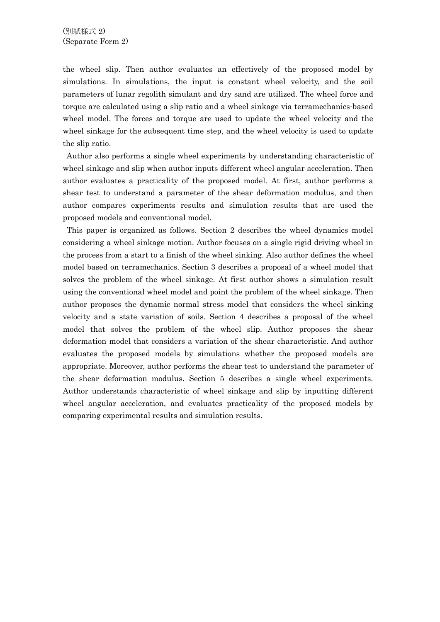the wheel slip. Then author evaluates an effectively of the proposed model by simulations. In simulations, the input is constant wheel velocity, and the soil parameters of lunar regolith simulant and dry sand are utilized. The wheel force and torque are calculated using a slip ratio and a wheel sinkage via terramechanics-based wheel model. The forces and torque are used to update the wheel velocity and the wheel sinkage for the subsequent time step, and the wheel velocity is used to update the slip ratio.

Author also performs a single wheel experiments by understanding characteristic of wheel sinkage and slip when author inputs different wheel angular acceleration. Then author evaluates a practicality of the proposed model. At first, author performs a shear test to understand a parameter of the shear deformation modulus, and then author compares experiments results and simulation results that are used the proposed models and conventional model.

This paper is organized as follows. Section 2 describes the wheel dynamics model considering a wheel sinkage motion. Author focuses on a single rigid driving wheel in the process from a start to a finish of the wheel sinking. Also author defines the wheel model based on terramechanics. Section 3 describes a proposal of a wheel model that solves the problem of the wheel sinkage. At first author shows a simulation result using the conventional wheel model and point the problem of the wheel sinkage. Then author proposes the dynamic normal stress model that considers the wheel sinking velocity and a state variation of soils. Section 4 describes a proposal of the wheel model that solves the problem of the wheel slip. Author proposes the shear deformation model that considers a variation of the shear characteristic. And author evaluates the proposed models by simulations whether the proposed models are appropriate. Moreover, author performs the shear test to understand the parameter of the shear deformation modulus. Section 5 describes a single wheel experiments. Author understands characteristic of wheel sinkage and slip by inputting different wheel angular acceleration, and evaluates practicality of the proposed models by comparing experimental results and simulation results.